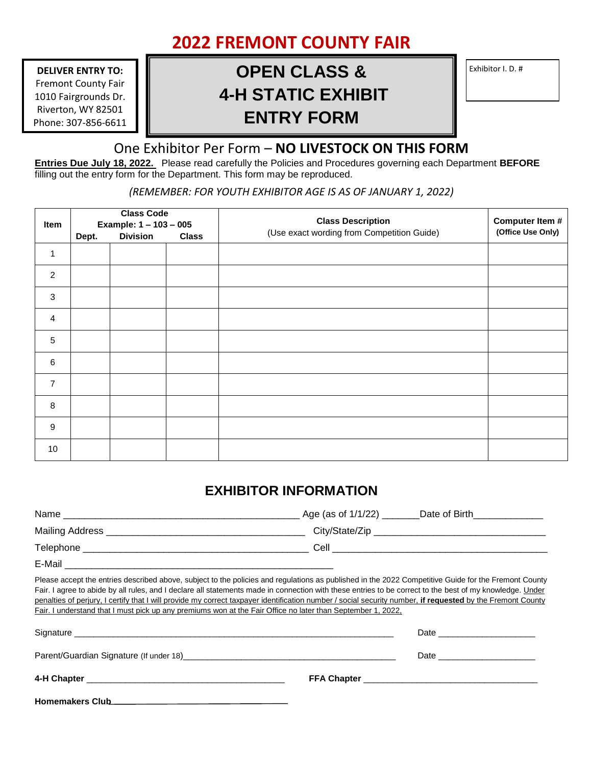## **2022 FREMONT COUNTY FAIR**

**DELIVER ENTRY TO:** Fremont County Fair 1010 Fairgrounds Dr. Riverton, WY 82501 Phone: 307-856-6611

## **OPEN CLASS & Exhibitor I. D. # 4-H STATIC EXHIBIT ENTRY FORM**

## One Exhibitor Per Form – **NO LIVESTOCK ON THIS FORM**

**Entries Due July 18, 2022.** Please read carefully the Policies and Procedures governing each Department **BEFORE**  filling out the entry form for the Department. This form may be reproduced.

*(REMEMBER: FOR YOUTH EXHIBITOR AGE IS AS OF JANUARY 1, 2022)*

| Item             | <b>Class Code</b><br>Example: 1 - 103 - 005 |  |  | <b>Class Description</b> | Computer Item # |
|------------------|---------------------------------------------|--|--|--------------------------|-----------------|
|                  |                                             |  |  |                          |                 |
|                  | $\mathbf{1}$                                |  |  |                          |                 |
| $\overline{2}$   |                                             |  |  |                          |                 |
| 3                |                                             |  |  |                          |                 |
| $\overline{a}$   |                                             |  |  |                          |                 |
| $\sqrt{5}$       |                                             |  |  |                          |                 |
| 6                |                                             |  |  |                          |                 |
| $\overline{7}$   |                                             |  |  |                          |                 |
| 8                |                                             |  |  |                          |                 |
| $\boldsymbol{9}$ |                                             |  |  |                          |                 |
| 10               |                                             |  |  |                          |                 |

## **EXHIBITOR INFORMATION**

| Name            | Age (as of $1/1/22$ ) __<br>Date of Birth |
|-----------------|-------------------------------------------|
| Mailing Address | City/State/Zip ___                        |
| Telephone       | Cell                                      |
| E-Mail          |                                           |

Please accept the entries described above, subject to the policies and regulations as published in the 2022 Competitive Guide for the Fremont County Fair. I agree to abide by all rules, and I declare all statements made in connection with these entries to be correct to the best of my knowledge. Under penalties of perjury, I certify that I will provide my correct taxpayer identification number / social security number, **if requested** by the Fremont County Fair. I understand that I must pick up any premiums won at the Fair Office no later than September 1, 2022,

| <b>Homemakers Club</b> |  |
|------------------------|--|